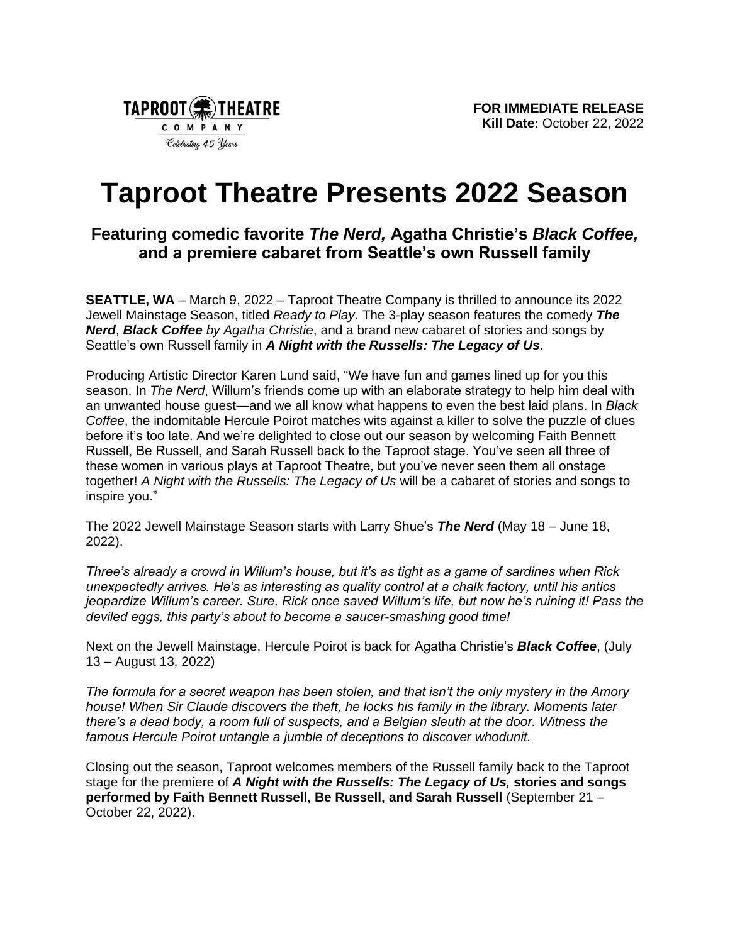

# **Taproot Theatre Presents 2022 Season**

## **Featuring comedic favorite** *The Nerd,* **Agatha Christie's** *Black Coffee,*  **and a premiere cabaret from Seattle's own Russell family**

**SEATTLE, WA** – March 9, 2022 – Taproot Theatre Company is thrilled to announce its 2022 Jewell Mainstage Season, titled *Ready to Play*. The 3-play season features the comedy *The Nerd*, *Black Coffee by Agatha Christie*, and a brand new cabaret of stories and songs by Seattle's own Russell family in *A Night with the Russells: The Legacy of Us*.

Producing Artistic Director Karen Lund said, "We have fun and games lined up for you this season. In *The Nerd*, Willum's friends come up with an elaborate strategy to help him deal with an unwanted house guest—and we all know what happens to even the best laid plans. In *Black Coffee*, the indomitable Hercule Poirot matches wits against a killer to solve the puzzle of clues before it's too late. And we're delighted to close out our season by welcoming Faith Bennett Russell, Be Russell, and Sarah Russell back to the Taproot stage. You've seen all three of these women in various plays at Taproot Theatre, but you've never seen them all onstage together! *A Night with the Russells: The Legacy of Us* will be a cabaret of stories and songs to inspire you."

The 2022 Jewell Mainstage Season starts with Larry Shue's *The Nerd* (May 18 – June 18, 2022).

*Three's already a crowd in Willum's house, but it's as tight as a game of sardines when Rick unexpectedly arrives. He's as interesting as quality control at a chalk factory, until his antics jeopardize Willum's career. Sure, Rick once saved Willum's life, but now he's ruining it! Pass the deviled eggs, this party's about to become a saucer-smashing good time!*

Next on the Jewell Mainstage, Hercule Poirot is back for Agatha Christie's *Black Coffee*, (July 13 – August 13, 2022)

*The formula for a secret weapon has been stolen, and that isn't the only mystery in the Amory house! When Sir Claude discovers the theft, he locks his family in the library. Moments later there's a dead body, a room full of suspects, and a Belgian sleuth at the door. Witness the famous Hercule Poirot untangle a jumble of deceptions to discover whodunit.*

Closing out the season, Taproot welcomes members of the Russell family back to the Taproot stage for the premiere of *A Night with the Russells: The Legacy of Us,* **stories and songs performed by Faith Bennett Russell, Be Russell, and Sarah Russell** (September 21 – October 22, 2022).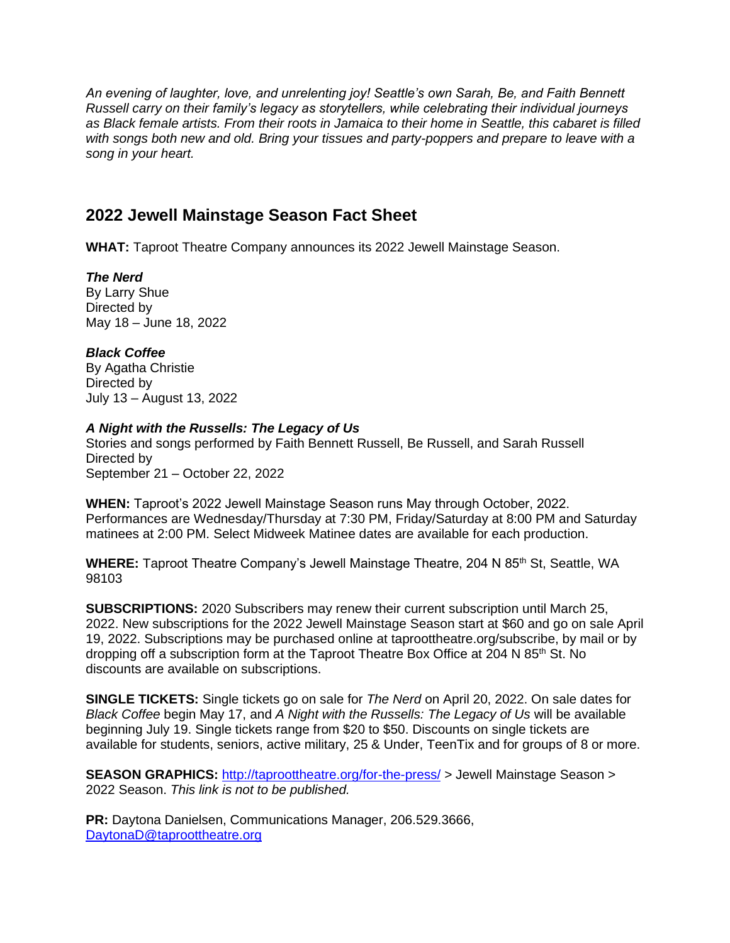*An evening of laughter, love, and unrelenting joy! Seattle's own Sarah, Be, and Faith Bennett Russell carry on their family's legacy as storytellers, while celebrating their individual journeys as Black female artists. From their roots in Jamaica to their home in Seattle, this cabaret is filled with songs both new and old. Bring your tissues and party-poppers and prepare to leave with a song in your heart.*

## **2022 Jewell Mainstage Season Fact Sheet**

**WHAT:** Taproot Theatre Company announces its 2022 Jewell Mainstage Season.

*The Nerd* By Larry Shue Directed by May 18 – June 18, 2022

### *Black Coffee*

By Agatha Christie Directed by July 13 – August 13, 2022

#### *A Night with the Russells: The Legacy of Us*

Stories and songs performed by Faith Bennett Russell, Be Russell, and Sarah Russell Directed by September 21 – October 22, 2022

**WHEN:** Taproot's 2022 Jewell Mainstage Season runs May through October, 2022. Performances are Wednesday/Thursday at 7:30 PM, Friday/Saturday at 8:00 PM and Saturday matinees at 2:00 PM. Select Midweek Matinee dates are available for each production.

**WHERE:** Taproot Theatre Company's Jewell Mainstage Theatre, 204 N 85<sup>th</sup> St, Seattle, WA 98103

**SUBSCRIPTIONS:** 2020 Subscribers may renew their current subscription until March 25, 2022. New subscriptions for the 2022 Jewell Mainstage Season start at \$60 and go on sale April 19, 2022. Subscriptions may be purchased online at taproottheatre.org/subscribe, by mail or by dropping off a subscription form at the Taproot Theatre Box Office at 204 N 85<sup>th</sup> St. No discounts are available on subscriptions.

**SINGLE TICKETS:** Single tickets go on sale for *The Nerd* on April 20, 2022. On sale dates for *Black Coffee* begin May 17, and *A Night with the Russells: The Legacy of Us* will be available beginning July 19. Single tickets range from \$20 to \$50. Discounts on single tickets are available for students, seniors, active military, 25 & Under, TeenTix and for groups of 8 or more.

**SEASON GRAPHICS: <http://taproottheatre.org/for-the-press/> > Jewell Mainstage Season >** 2022 Season. *This link is not to be published.*

**PR:** Daytona Danielsen, Communications Manager, 206.529.3666, [DaytonaD@taproottheatre.org](mailto:DaytonaD@taproottheatre.org)